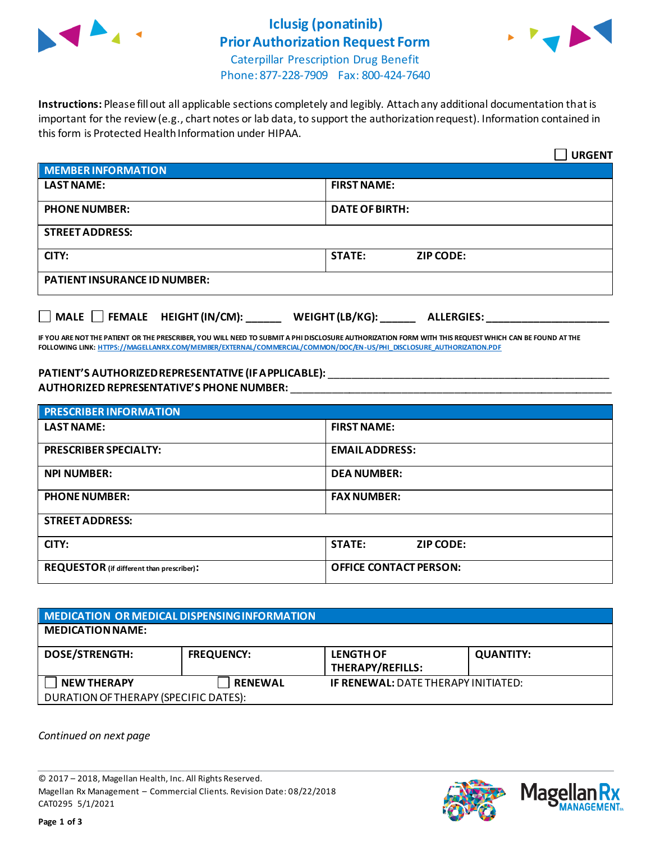

# **Iclusig (ponatinib) Prior Authorization Request Form**



Caterpillar Prescription Drug Benefit Phone: 877-228-7909 Fax: 800-424-7640

**Instructions:** Please fill out all applicable sections completely and legibly. Attach any additional documentation that is important for the review (e.g., chart notes or lab data, to support the authorization request). Information contained in this form is Protected Health Information under HIPAA.

|                                                                                   | <b>URGENT</b>                     |  |
|-----------------------------------------------------------------------------------|-----------------------------------|--|
| <b>MEMBER INFORMATION</b>                                                         |                                   |  |
| <b>LAST NAME:</b>                                                                 | <b>FIRST NAME:</b>                |  |
| <b>PHONE NUMBER:</b>                                                              | <b>DATE OF BIRTH:</b>             |  |
| <b>STREET ADDRESS:</b>                                                            |                                   |  |
| CITY:                                                                             | <b>STATE:</b><br><b>ZIP CODE:</b> |  |
| <b>PATIENT INSURANCE ID NUMBER:</b>                                               |                                   |  |
| $\Box$ MALE $\Box$ FEMALE HEIGHT (IN/CM):<br>WEIGHT (LB/KG):<br><b>ALLERGIES:</b> |                                   |  |

**IF YOU ARE NOT THE PATIENT OR THE PRESCRIBER, YOU WILL NEED TO SUBMIT A PHI DISCLOSURE AUTHORIZATION FORM WITH THIS REQUEST WHICH CAN BE FOUND AT THE FOLLOWING LINK[: HTTPS://MAGELLANRX.COM/MEMBER/EXTERNAL/COMMERCIAL/COMMON/DOC/EN-US/PHI\\_DISCLOSURE\\_AUTHORIZATION.PDF](https://magellanrx.com/member/external/commercial/common/doc/en-us/PHI_Disclosure_Authorization.pdf)**

### **PATIENT'S AUTHORIZED REPRESENTATIVE (IF APPLICABLE):** \_\_\_\_\_\_\_\_\_\_\_\_\_\_\_\_\_\_\_\_\_\_\_\_\_\_\_\_\_\_\_\_\_\_\_\_\_\_\_\_\_\_\_\_\_\_\_\_ **AUTHORIZED REPRESENTATIVE'S PHONE NUMBER:** \_\_\_\_\_\_\_\_\_\_\_\_\_\_\_\_\_\_\_\_\_\_\_\_\_\_\_\_\_\_\_\_\_\_\_\_\_\_\_\_\_\_\_\_\_\_\_\_\_\_\_\_\_\_\_

| <b>PRESCRIBER INFORMATION</b>             |                                   |  |
|-------------------------------------------|-----------------------------------|--|
| <b>LAST NAME:</b>                         | <b>FIRST NAME:</b>                |  |
| <b>PRESCRIBER SPECIALTY:</b>              | <b>EMAIL ADDRESS:</b>             |  |
| <b>NPI NUMBER:</b>                        | <b>DEA NUMBER:</b>                |  |
| <b>PHONE NUMBER:</b>                      | <b>FAX NUMBER:</b>                |  |
| <b>STREET ADDRESS:</b>                    |                                   |  |
| CITY:                                     | <b>STATE:</b><br><b>ZIP CODE:</b> |  |
| REQUESTOR (if different than prescriber): | <b>OFFICE CONTACT PERSON:</b>     |  |

## **MEDICATION OR MEDICAL DISPENSING INFORMATION MEDICATION NAME: DOSE/STRENGTH: FREQUENCY: LENGTH OF THERAPY/REFILLS: QUANTITY: NEW THERAPY RENEWAL IF RENEWAL:** DATE THERAPY INITIATED: DURATION OF THERAPY (SPECIFIC DATES):

*Continued on next page*

© 2017 – 2018, Magellan Health, Inc. All Rights Reserved. Magellan Rx Management – Commercial Clients. Revision Date: 08/22/2018 CAT0295 5/1/2021



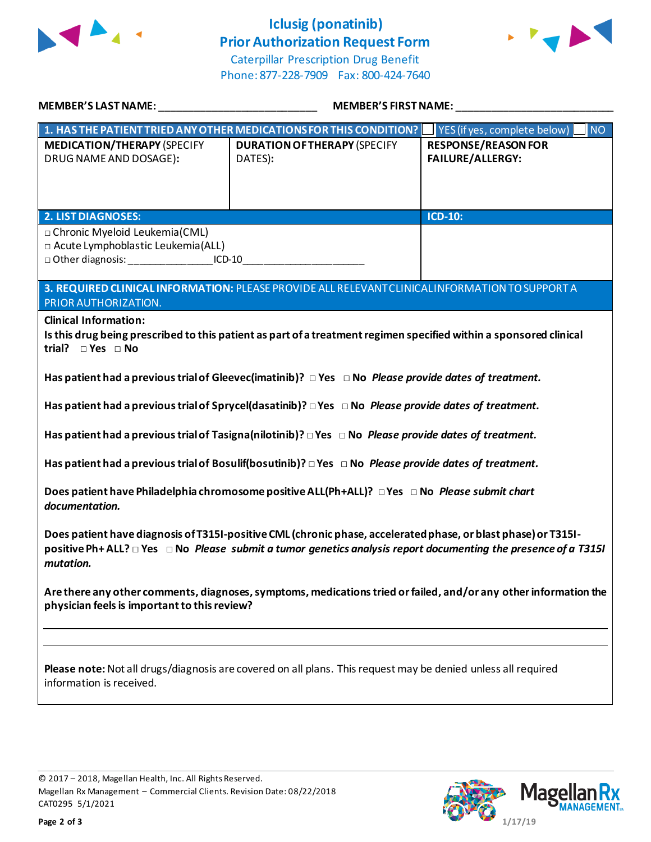

# **Iclusig (ponatinib) Prior Authorization Request Form**



Caterpillar Prescription Drug Benefit Phone: 877-228-7909 Fax: 800-424-7640

| MEMBER'S LAST NAME: __________________________________                                                                                                                                                                                                  | MEMBER'S FIRST NAME:                                                                                             |                                                       |  |
|---------------------------------------------------------------------------------------------------------------------------------------------------------------------------------------------------------------------------------------------------------|------------------------------------------------------------------------------------------------------------------|-------------------------------------------------------|--|
| 1. HAS THE PATIENT TRIED ANY OTHER MEDICATIONS FOR THIS CONDITION?   YES (if yes, complete below)<br><b>NO</b>                                                                                                                                          |                                                                                                                  |                                                       |  |
| <b>MEDICATION/THERAPY (SPECIFY</b><br>DRUG NAME AND DOSAGE):                                                                                                                                                                                            | <b>DURATION OF THERAPY (SPECIFY</b><br>DATES):                                                                   | <b>RESPONSE/REASON FOR</b><br><b>FAILURE/ALLERGY:</b> |  |
| <b>2. LIST DIAGNOSES:</b>                                                                                                                                                                                                                               |                                                                                                                  | <b>ICD-10:</b>                                        |  |
| □ Chronic Myeloid Leukemia(CML)<br>□ Acute Lymphoblastic Leukemia(ALL)<br>□ Other diagnosis: ___________________ICD-10___________________________________                                                                                               | 3. REQUIRED CLINICAL INFORMATION: PLEASE PROVIDE ALL RELEVANT CLINICAL INFORMATION TO SUPPORT A                  |                                                       |  |
| PRIOR AUTHORIZATION.                                                                                                                                                                                                                                    |                                                                                                                  |                                                       |  |
| <b>Clinical Information:</b><br>Is this drug being prescribed to this patient as part of a treatment regimen specified within a sponsored clinical<br>trial? $\square$ Yes $\square$ No                                                                 |                                                                                                                  |                                                       |  |
| Has patient had a previous trial of Gleevec (imatinib)? $\Box$ Yes $\Box$ No Please provide dates of treatment.                                                                                                                                         |                                                                                                                  |                                                       |  |
| Has patient had a previous trial of Sprycel(dasatinib)? $\Box$ Yes $\Box$ No Please provide dates of treatment.                                                                                                                                         |                                                                                                                  |                                                       |  |
| Has patient had a previous trial of Tasigna (nilotinib)? $\Box$ Yes $\Box$ No Please provide dates of treatment.                                                                                                                                        |                                                                                                                  |                                                       |  |
| Has patient had a previous trial of Bosulif(bosutinib)? $\Box$ Yes $\Box$ No Please provide dates of treatment.                                                                                                                                         |                                                                                                                  |                                                       |  |
| Does patient have Philadelphia chromosome positive ALL(Ph+ALL)? □ Yes □ No Please submit chart<br>documentation.                                                                                                                                        |                                                                                                                  |                                                       |  |
| Does patient have diagnosis of T315I-positive CML (chronic phase, accelerated phase, or blast phase) or T315I-<br>positive Ph+ALL? $\Box$ Yes $\Box$ No Please submit a tumor genetics analysis report documenting the presence of a T315I<br>mutation. |                                                                                                                  |                                                       |  |
| physician feels is important to this review?                                                                                                                                                                                                            | Are there any other comments, diagnoses, symptoms, medications tried or failed, and/or any other information the |                                                       |  |
|                                                                                                                                                                                                                                                         |                                                                                                                  |                                                       |  |
| information is received.                                                                                                                                                                                                                                | Please note: Not all drugs/diagnosis are covered on all plans. This request may be denied unless all required    |                                                       |  |
|                                                                                                                                                                                                                                                         |                                                                                                                  |                                                       |  |

© 2017 – 2018, Magellan Health, Inc. All Rights Reserved. Magellan Rx Management – Commercial Clients. Revision Date: 08/22/2018 CAT0295 5/1/2021